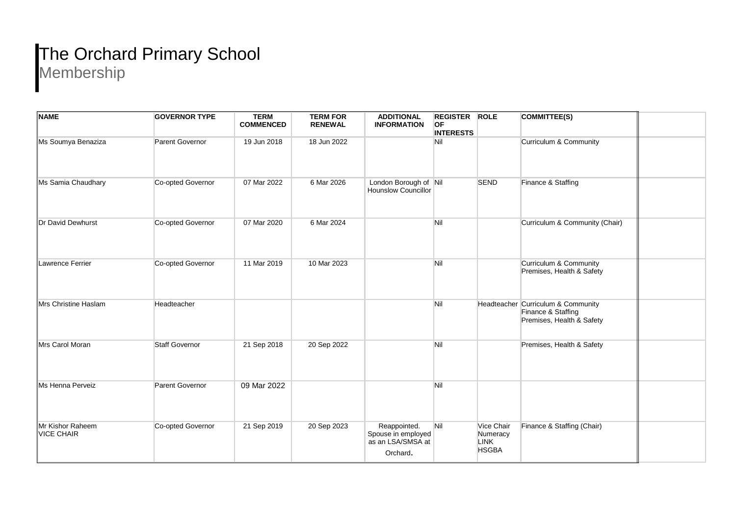## The Orchard Primary School

Membership

| <b>NAME</b>                           | <b>GOVERNOR TYPE</b>  | <b>TERM</b><br><b>COMMENCED</b> | <b>TERM FOR</b><br><b>RENEWAL</b> | <b>ADDITIONAL</b><br><b>INFORMATION</b>                             | <b>REGISTER ROLE</b><br><b>OF</b><br><b>INTERESTS</b> |                                                       | COMMITTEE(S)                                                                          |  |
|---------------------------------------|-----------------------|---------------------------------|-----------------------------------|---------------------------------------------------------------------|-------------------------------------------------------|-------------------------------------------------------|---------------------------------------------------------------------------------------|--|
| Ms Soumya Benaziza                    | Parent Governor       | 19 Jun 2018                     | 18 Jun 2022                       |                                                                     | Nil                                                   |                                                       | Curriculum & Community                                                                |  |
| Ms Samia Chaudhary                    | Co-opted Governor     | 07 Mar 2022                     | 6 Mar 2026                        | London Borough of Nil<br><b>Hounslow Councillor</b>                 |                                                       | <b>SEND</b>                                           | Finance & Staffing                                                                    |  |
| Dr David Dewhurst                     | Co-opted Governor     | 07 Mar 2020                     | 6 Mar 2024                        |                                                                     | Nil                                                   |                                                       | Curriculum & Community (Chair)                                                        |  |
| Lawrence Ferrier                      | Co-opted Governor     | 11 Mar 2019                     | 10 Mar 2023                       |                                                                     | Nil                                                   |                                                       | Curriculum & Community<br>Premises, Health & Safety                                   |  |
| Mrs Christine Haslam                  | Headteacher           |                                 |                                   |                                                                     | Nil                                                   |                                                       | Headteacher Curriculum & Community<br>Finance & Staffing<br>Premises, Health & Safety |  |
| Mrs Carol Moran                       | <b>Staff Governor</b> | 21 Sep 2018                     | 20 Sep 2022                       |                                                                     | Nil                                                   |                                                       | Premises, Health & Safety                                                             |  |
| Ms Henna Perveiz                      | Parent Governor       | 09 Mar 2022                     |                                   |                                                                     | Nil                                                   |                                                       |                                                                                       |  |
| Mr Kishor Raheem<br><b>VICE CHAIR</b> | Co-opted Governor     | 21 Sep 2019                     | 20 Sep 2023                       | Reappointed.<br>Spouse in employed<br>as an LSA/SMSA at<br>Orchard. | Nil                                                   | Vice Chair<br>Numeracy<br><b>LINK</b><br><b>HSGBA</b> | Finance & Staffing (Chair)                                                            |  |